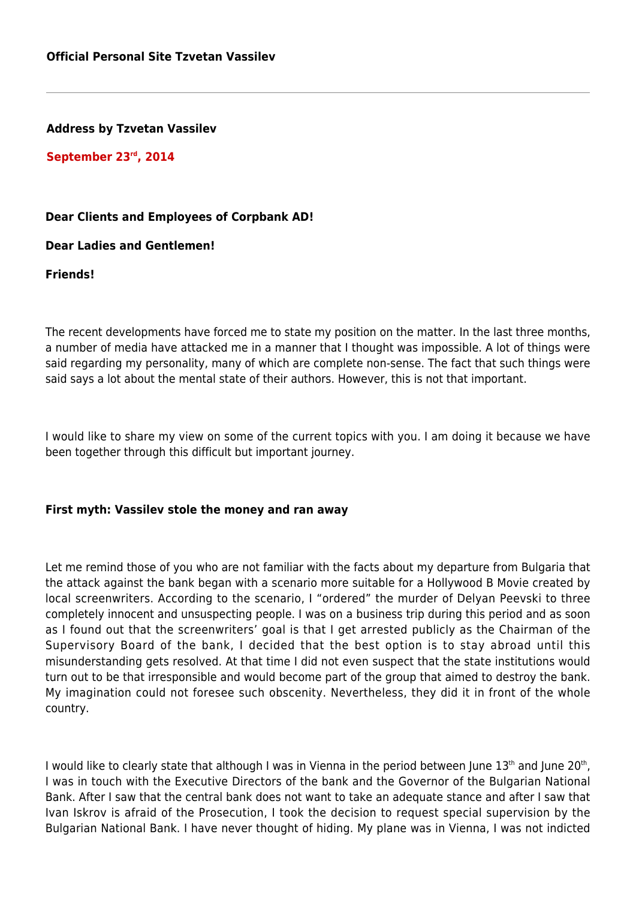**Address by Tzvetan Vassilev**

**September 23rd, 2014**

## **Dear Clients and Employees of Corpbank AD!**

**Dear Ladies and Gentlemen!**

**Friends!**

The recent developments have forced me to state my position on the matter. In the last three months, a number of media have attacked me in a manner that I thought was impossible. A lot of things were said regarding my personality, many of which are complete non-sense. The fact that such things were said says a lot about the mental state of their authors. However, this is not that important.

I would like to share my view on some of the current topics with you. I am doing it because we have been together through this difficult but important journey.

## **First myth: Vassilev stole the money and ran away**

Let me remind those of you who are not familiar with the facts about my departure from Bulgaria that the attack against the bank began with a scenario more suitable for a Hollywood B Movie created by local screenwriters. According to the scenario, I "ordered" the murder of Delyan Peevski to three completely innocent and unsuspecting people. I was on a business trip during this period and as soon as I found out that the screenwriters' goal is that I get arrested publicly as the Chairman of the Supervisory Board of the bank, I decided that the best option is to stay abroad until this misunderstanding gets resolved. At that time I did not even suspect that the state institutions would turn out to be that irresponsible and would become part of the group that aimed to destroy the bank. My imagination could not foresee such obscenity. Nevertheless, they did it in front of the whole country.

I would like to clearly state that although I was in Vienna in the period between June  $13^{\text{th}}$  and June 20 $^{\text{th}}$ , I was in touch with the Executive Directors of the bank and the Governor of the Bulgarian National Bank. After I saw that the central bank does not want to take an adequate stance and after I saw that Ivan Iskrov is afraid of the Prosecution, I took the decision to request special supervision by the Bulgarian National Bank. I have never thought of hiding. My plane was in Vienna, I was not indicted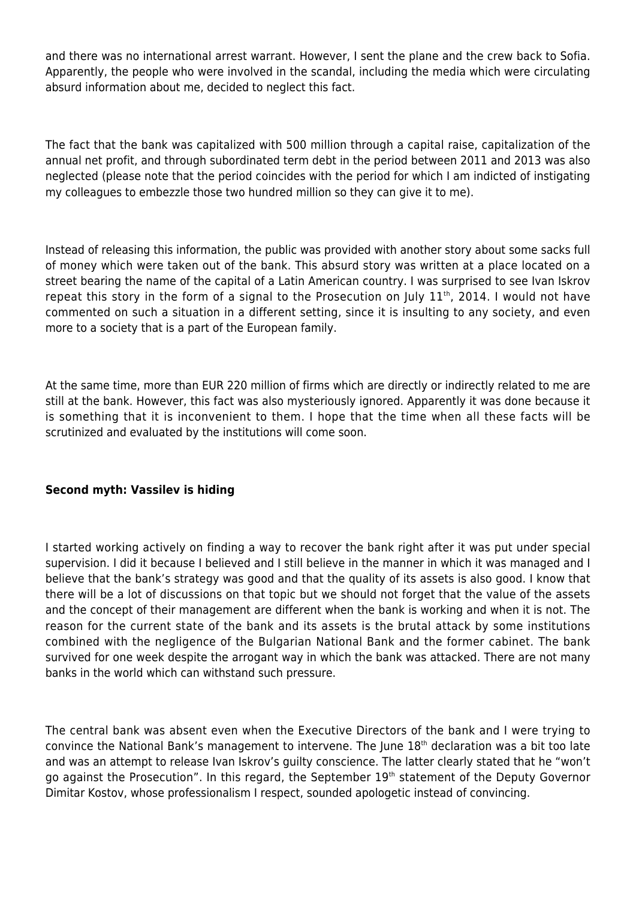and there was no international arrest warrant. However, I sent the plane and the crew back to Sofia. Apparently, the people who were involved in the scandal, including the media which were circulating absurd information about me, decided to neglect this fact.

The fact that the bank was capitalized with 500 million through a capital raise, capitalization of the annual net profit, and through subordinated term debt in the period between 2011 and 2013 was also neglected (please note that the period coincides with the period for which I am indicted of instigating my colleagues to embezzle those two hundred million so they can give it to me).

Instead of releasing this information, the public was provided with another story about some sacks full of money which were taken out of the bank. This absurd story was written at a place located on a street bearing the name of the capital of a Latin American country. I was surprised to see Ivan Iskrov repeat this story in the form of a signal to the Prosecution on July  $11^{th}$ , 2014. I would not have commented on such a situation in a different setting, since it is insulting to any society, and even more to a society that is a part of the European family.

At the same time, more than EUR 220 million of firms which are directly or indirectly related to me are still at the bank. However, this fact was also mysteriously ignored. Apparently it was done because it is something that it is inconvenient to them. I hope that the time when all these facts will be scrutinized and evaluated by the institutions will come soon.

## **Second myth: Vassilev is hiding**

I started working actively on finding a way to recover the bank right after it was put under special supervision. I did it because I believed and I still believe in the manner in which it was managed and I believe that the bank's strategy was good and that the quality of its assets is also good. I know that there will be a lot of discussions on that topic but we should not forget that the value of the assets and the concept of their management are different when the bank is working and when it is not. The reason for the current state of the bank and its assets is the brutal attack by some institutions combined with the negligence of the Bulgarian National Bank and the former cabinet. The bank survived for one week despite the arrogant way in which the bank was attacked. There are not many banks in the world which can withstand such pressure.

The central bank was absent even when the Executive Directors of the bank and I were trying to convince the National Bank's management to intervene. The June 18<sup>th</sup> declaration was a bit too late and was an attempt to release Ivan Iskrov's guilty conscience. The latter clearly stated that he "won't go against the Prosecution". In this regard, the September 19<sup>th</sup> statement of the Deputy Governor Dimitar Kostov, whose professionalism I respect, sounded apologetic instead of convincing.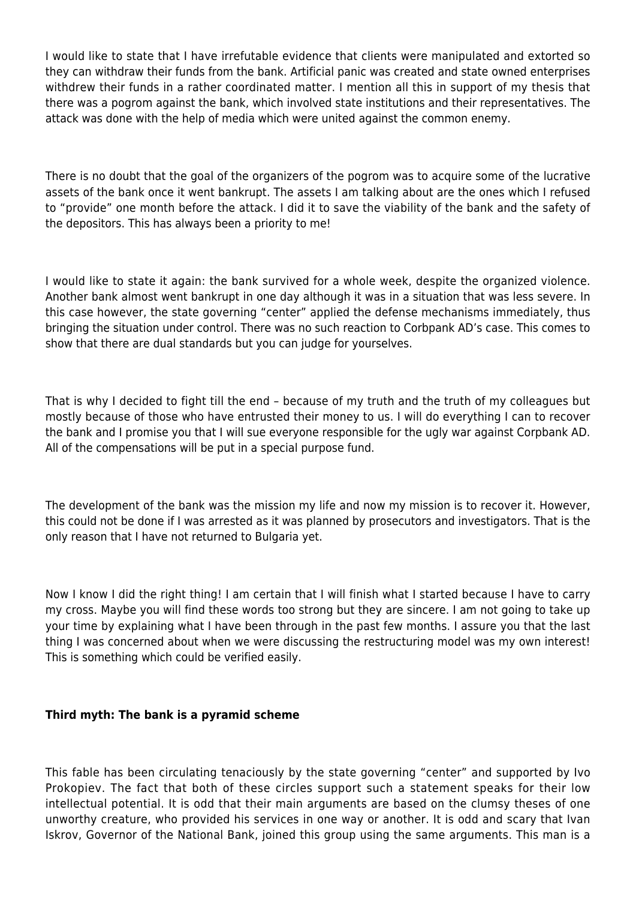I would like to state that I have irrefutable evidence that clients were manipulated and extorted so they can withdraw their funds from the bank. Artificial panic was created and state owned enterprises withdrew their funds in a rather coordinated matter. I mention all this in support of my thesis that there was a pogrom against the bank, which involved state institutions and their representatives. The attack was done with the help of media which were united against the common enemy.

There is no doubt that the goal of the organizers of the pogrom was to acquire some of the lucrative assets of the bank once it went bankrupt. The assets I am talking about are the ones which I refused to "provide" one month before the attack. I did it to save the viability of the bank and the safety of the depositors. This has always been a priority to me!

I would like to state it again: the bank survived for a whole week, despite the organized violence. Another bank almost went bankrupt in one day although it was in a situation that was less severe. In this case however, the state governing "center" applied the defense mechanisms immediately, thus bringing the situation under control. There was no such reaction to Corbpank AD's case. This comes to show that there are dual standards but you can judge for yourselves.

That is why I decided to fight till the end – because of my truth and the truth of my colleagues but mostly because of those who have entrusted their money to us. I will do everything I can to recover the bank and I promise you that I will sue everyone responsible for the ugly war against Corpbank AD. All of the compensations will be put in a special purpose fund.

The development of the bank was the mission my life and now my mission is to recover it. However, this could not be done if I was arrested as it was planned by prosecutors and investigators. That is the only reason that I have not returned to Bulgaria yet.

Now I know I did the right thing! I am certain that I will finish what I started because I have to carry my cross. Maybe you will find these words too strong but they are sincere. I am not going to take up your time by explaining what I have been through in the past few months. I assure you that the last thing I was concerned about when we were discussing the restructuring model was my own interest! This is something which could be verified easily.

## **Third myth: The bank is a pyramid scheme**

This fable has been circulating tenaciously by the state governing "center" and supported by Ivo Prokopiev. The fact that both of these circles support such a statement speaks for their low intellectual potential. It is odd that their main arguments are based on the clumsy theses of one unworthy creature, who provided his services in one way or another. It is odd and scary that Ivan Iskrov, Governor of the National Bank, joined this group using the same arguments. This man is a